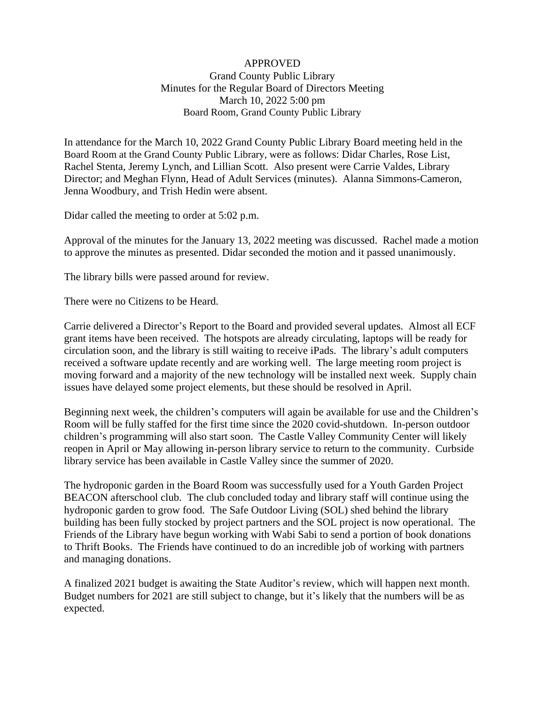## APPROVED Grand County Public Library Minutes for the Regular Board of Directors Meeting March 10, 2022 5:00 pm Board Room, Grand County Public Library

In attendance for the March 10, 2022 Grand County Public Library Board meeting held in the Board Room at the Grand County Public Library, were as follows: Didar Charles, Rose List, Rachel Stenta, Jeremy Lynch, and Lillian Scott. Also present were Carrie Valdes, Library Director; and Meghan Flynn, Head of Adult Services (minutes). Alanna Simmons-Cameron, Jenna Woodbury, and Trish Hedin were absent.

Didar called the meeting to order at 5:02 p.m.

Approval of the minutes for the January 13, 2022 meeting was discussed. Rachel made a motion to approve the minutes as presented. Didar seconded the motion and it passed unanimously.

The library bills were passed around for review.

There were no Citizens to be Heard.

Carrie delivered a Director's Report to the Board and provided several updates. Almost all ECF grant items have been received. The hotspots are already circulating, laptops will be ready for circulation soon, and the library is still waiting to receive iPads. The library's adult computers received a software update recently and are working well. The large meeting room project is moving forward and a majority of the new technology will be installed next week. Supply chain issues have delayed some project elements, but these should be resolved in April.

Beginning next week, the children's computers will again be available for use and the Children's Room will be fully staffed for the first time since the 2020 covid-shutdown. In-person outdoor children's programming will also start soon. The Castle Valley Community Center will likely reopen in April or May allowing in-person library service to return to the community. Curbside library service has been available in Castle Valley since the summer of 2020.

The hydroponic garden in the Board Room was successfully used for a Youth Garden Project BEACON afterschool club. The club concluded today and library staff will continue using the hydroponic garden to grow food. The Safe Outdoor Living (SOL) shed behind the library building has been fully stocked by project partners and the SOL project is now operational. The Friends of the Library have begun working with Wabi Sabi to send a portion of book donations to Thrift Books. The Friends have continued to do an incredible job of working with partners and managing donations.

A finalized 2021 budget is awaiting the State Auditor's review, which will happen next month. Budget numbers for 2021 are still subject to change, but it's likely that the numbers will be as expected.